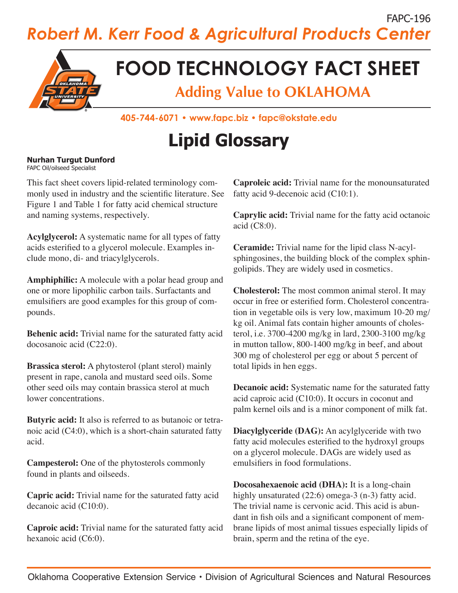### FAPC-196 *Robert M. Kerr Food & Agricultural Products Center*



## **FOOD TECHNOLOGY FACT SHEET**

**Adding Value to OKLAHOMA**

**405-744-6071 • www.fapc.biz • fapc@okstate.edu**

# **Lipid Glossary**

#### **Nurhan Turgut Dunford** FAPC Oil/oilseed Specialist

This fact sheet covers lipid-related terminology commonly used in industry and the scientific literature. See Figure 1 and Table 1 for fatty acid chemical structure and naming systems, respectively.

**Acylglycerol:** A systematic name for all types of fatty acids esterified to a glycerol molecule. Examples include mono, di- and triacylglycerols.

**Amphiphilic:** A molecule with a polar head group and one or more lipophilic carbon tails. Surfactants and emulsifiers are good examples for this group of compounds.

**Behenic acid:** Trivial name for the saturated fatty acid docosanoic acid (C22:0).

**Brassica sterol:** A phytosterol (plant sterol) mainly present in rape, canola and mustard seed oils. Some other seed oils may contain brassica sterol at much lower concentrations.

**Butyric acid:** It also is referred to as butanoic or tetranoic acid (C4:0), which is a short-chain saturated fatty acid.

**Campesterol:** One of the phytosterols commonly found in plants and oilseeds.

**Capric acid:** Trivial name for the saturated fatty acid decanoic acid (C10:0).

**Caproic acid:** Trivial name for the saturated fatty acid hexanoic acid (C6:0).

**Caproleic acid:** Trivial name for the monounsaturated fatty acid 9-decenoic acid (C10:1).

**Caprylic acid:** Trivial name for the fatty acid octanoic acid (C8:0).

**Ceramide:** Trivial name for the lipid class N-acylsphingosines, the building block of the complex sphingolipids. They are widely used in cosmetics.

**Cholesterol:** The most common animal sterol. It may occur in free or esterified form. Cholesterol concentration in vegetable oils is very low, maximum 10-20 mg/ kg oil. Animal fats contain higher amounts of cholesterol, i.e. 3700-4200 mg/kg in lard, 2300-3100 mg/kg in mutton tallow, 800-1400 mg/kg in beef, and about 300 mg of cholesterol per egg or about 5 percent of total lipids in hen eggs.

**Decanoic acid:** Systematic name for the saturated fatty acid caproic acid (C10:0). It occurs in coconut and palm kernel oils and is a minor component of milk fat.

**Diacylglyceride (DAG):** An acylglyceride with two fatty acid molecules esterified to the hydroxyl groups on a glycerol molecule. DAGs are widely used as emulsifiers in food formulations.

**Docosahexaenoic acid (DHA):** It is a long-chain highly unsaturated (22:6) omega-3 (n-3) fatty acid. The trivial name is cervonic acid. This acid is abundant in fish oils and a significant component of membrane lipids of most animal tissues especially lipids of brain, sperm and the retina of the eye.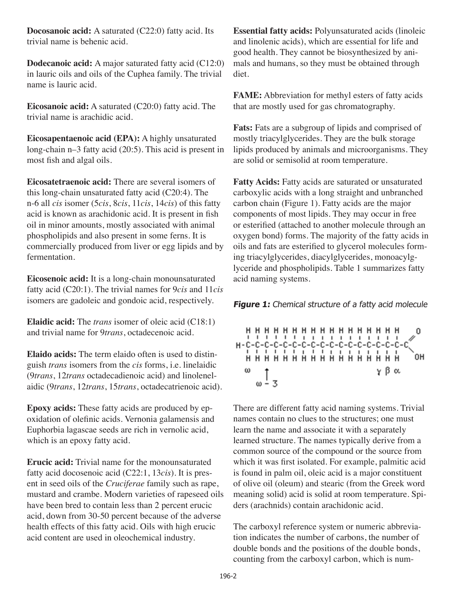**Docosanoic acid:** A saturated (C22:0) fatty acid. Its trivial name is behenic acid.

**Dodecanoic acid:** A major saturated fatty acid (C12:0) in lauric oils and oils of the Cuphea family. The trivial name is lauric acid.

**Eicosanoic acid:** A saturated (C20:0) fatty acid. The trivial name is arachidic acid.

**Eicosapentaenoic acid (EPA):** A highly unsaturated long-chain n–3 fatty acid (20:5). This acid is present in most fish and algal oils.

**Eicosatetraenoic acid:** There are several isomers of this long-chain unsaturated fatty acid (C20:4). The n-6 all *cis* isomer (5*cis*, 8*cis*, 11*cis*, 14*cis*) of this fatty acid is known as arachidonic acid. It is present in fish oil in minor amounts, mostly associated with animal phospholipids and also present in some ferns. It is commercially produced from liver or egg lipids and by fermentation.

**Eicosenoic acid:** It is a long-chain monounsaturated fatty acid (C20:1). The trivial names for 9*cis* and 11*cis*  isomers are gadoleic and gondoic acid, respectively.

**Elaidic acid:** The *trans* isomer of oleic acid (C18:1) and trivial name for 9*trans*, octadecenoic acid.

**Elaido acids:** The term elaido often is used to distinguish *trans* isomers from the *cis* forms, i.e. linelaidic (9*trans*, 12*trans* octadecadienoic acid) and linolenelaidic (9*trans*, 12*trans*, 15*trans*, octadecatrienoic acid).

**Epoxy acids:** These fatty acids are produced by epoxidation of olefinic acids. Vernonia galamensis and Euphorbia lagascae seeds are rich in vernolic acid, which is an epoxy fatty acid.

**Erucic acid:** Trivial name for the monounsaturated fatty acid docosenoic acid (C22:1, 13*cis*). It is present in seed oils of the *Cruciferae* family such as rape, mustard and crambe. Modern varieties of rapeseed oils have been bred to contain less than 2 percent erucic acid, down from 30-50 percent because of the adverse health effects of this fatty acid. Oils with high erucic acid content are used in oleochemical industry.

**Essential fatty acids:** Polyunsaturated acids (linoleic and linolenic acids), which are essential for life and good health. They cannot be biosynthesized by animals and humans, so they must be obtained through diet.

**FAME:** Abbreviation for methyl esters of fatty acids that are mostly used for gas chromatography.

**Fats:** Fats are a subgroup of lipids and comprised of mostly triacylglycerides. They are the bulk storage lipids produced by animals and microorganisms. They are solid or semisolid at room temperature.

**Fatty Acids:** Fatty acids are saturated or unsaturated carboxylic acids with a long straight and unbranched carbon chain (Figure 1). Fatty acids are the major components of most lipids. They may occur in free or esterified (attached to another molecule through an oxygen bond) forms. The majority of the fatty acids in oils and fats are esterified to glycerol molecules forming triacylglycerides, diacylglycerides, monoacylglyceride and phospholipids. Table 1 summarizes fatty acid naming systems.

**Figure 1:** Chemical structure of a fatty acid molecule

**...................**  $\mathbf 0$ . . . . . . . . . . . . . . . . . OΗ ω  $\frac{1}{\omega-3}$ γβα

There are different fatty acid naming systems. Trivial names contain no clues to the structures; one must learn the name and associate it with a separately learned structure. The names typically derive from a common source of the compound or the source from which it was first isolated. For example, palmitic acid is found in palm oil, oleic acid is a major constituent of olive oil (oleum) and stearic (from the Greek word meaning solid) acid is solid at room temperature. Spiders (arachnids) contain arachidonic acid.

The carboxyl reference system or numeric abbreviation indicates the number of carbons, the number of double bonds and the positions of the double bonds, counting from the carboxyl carbon, which is num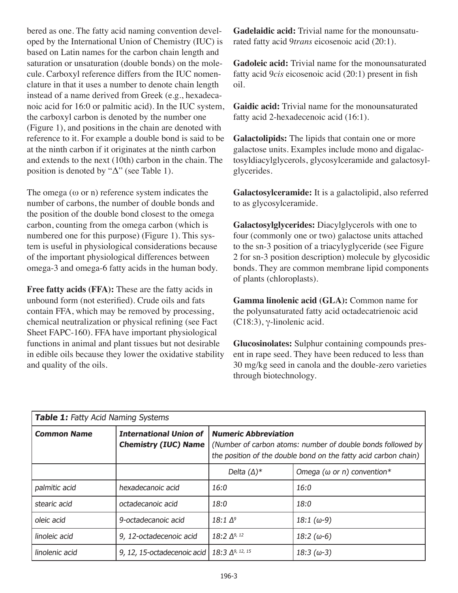bered as one. The fatty acid naming convention developed by the International Union of Chemistry (IUC) is based on Latin names for the carbon chain length and saturation or unsaturation (double bonds) on the molecule. Carboxyl reference differs from the IUC nomenclature in that it uses a number to denote chain length instead of a name derived from Greek (e.g., hexadecanoic acid for 16:0 or palmitic acid). In the IUC system, the carboxyl carbon is denoted by the number one (Figure 1), and positions in the chain are denoted with reference to it. For example a double bond is said to be at the ninth carbon if it originates at the ninth carbon and extends to the next (10th) carbon in the chain. The position is denoted by " $\Delta$ " (see Table 1).

The omega  $(\omega \text{ or } n)$  reference system indicates the number of carbons, the number of double bonds and the position of the double bond closest to the omega carbon, counting from the omega carbon (which is numbered one for this purpose) (Figure 1). This system is useful in physiological considerations because of the important physiological differences between omega-3 and omega-6 fatty acids in the human body.

**Free fatty acids (FFA):** These are the fatty acids in unbound form (not esterified). Crude oils and fats contain FFA, which may be removed by processing, chemical neutralization or physical refining (see Fact Sheet FAPC-160). FFA have important physiological functions in animal and plant tissues but not desirable in edible oils because they lower the oxidative stability and quality of the oils.

**Gadelaidic acid:** Trivial name for the monounsaturated fatty acid 9*trans* eicosenoic acid (20:1).

**Gadoleic acid:** Trivial name for the monounsaturated fatty acid 9*cis* eicosenoic acid (20:1) present in fish oil.

**Gaidic acid:** Trivial name for the monounsaturated fatty acid 2-hexadecenoic acid (16:1).

**Galactolipids:** The lipids that contain one or more galactose units. Examples include mono and digalactosyldiacylglycerols, glycosylceramide and galactosylglycerides.

**Galactosylceramide:** It is a galactolipid, also referred to as glycosylceramide.

**Galactosylglycerides:** Diacylglycerols with one to four (commonly one or two) galactose units attached to the sn-3 position of a triacylyglyceride (see Figure 2 for sn-3 position description) molecule by glycosidic bonds. They are common membrane lipid components of plants (chloroplasts).

**Gamma linolenic acid (GLA):** Common name for the polyunsaturated fatty acid octadecatrienoic acid (C18:3), γ-linolenic acid.

**Glucosinolates:** Sulphur containing compounds present in rape seed. They have been reduced to less than 30 mg/kg seed in canola and the double-zero varieties through biotechnology.

| Table 1: Fatty Acid Naming Systems |                                                              |                                                                                                                                                               |                                    |
|------------------------------------|--------------------------------------------------------------|---------------------------------------------------------------------------------------------------------------------------------------------------------------|------------------------------------|
| <b>Common Name</b>                 | <b>International Union of</b><br><b>Chemistry (IUC) Name</b> | <b>Numeric Abbreviation</b><br>(Number of carbon atoms: number of double bonds followed by<br>the position of the double bond on the fatty acid carbon chain) |                                    |
|                                    |                                                              | Delta $(\Delta)^*$                                                                                                                                            | Omega ( $\omega$ or n) convention* |
| palmitic acid                      | hexadecanoic acid                                            | 16:0                                                                                                                                                          | 16:0                               |
| stearic acid                       | octadecanoic acid                                            | 18:0                                                                                                                                                          | 18:0                               |
| oleic acid                         | 9-octadecanoic acid                                          | 18:1 $\Delta^9$                                                                                                                                               | 18:1 (ω-9)                         |
| linoleic acid                      | 9, 12-octadecenoic acid                                      | 18:2 $\Delta^{9, 12}$                                                                                                                                         | 18:2 (ω-6)                         |
| linolenic acid                     | 9, 12, 15-octadecenoic acid                                  | $18:3 \Delta^{9, 12, 15}$                                                                                                                                     | 18:3 (ω-3)                         |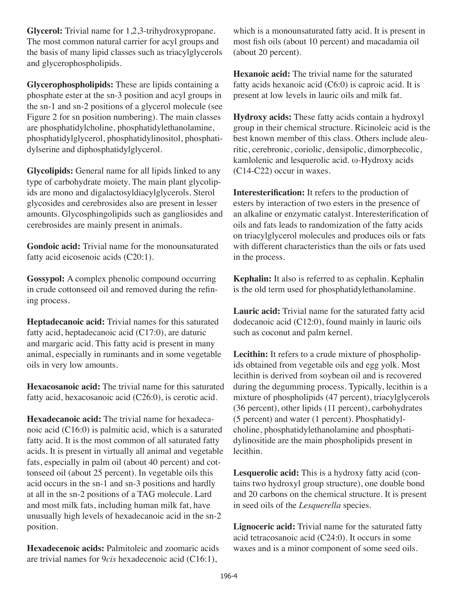**Glycerol:** Trivial name for 1,2,3-trihydroxypropane. The most common natural carrier for acyl groups and the basis of many lipid classes such as triacylglycerols and glycerophospholipids.

**Glycerophospholipids:** These are lipids containing a phosphate ester at the sn-3 position and acyl groups in the sn-1 and sn-2 positions of a glycerol molecule (see Figure 2 for sn position numbering). The main classes are phosphatidylcholine, phosphatidylethanolamine, phosphatidylglycerol, phosphatidylinositol, phosphatidylserine and diphosphatidylglycerol.

**Glycolipids:** General name for all lipids linked to any type of carbohydrate moiety. The main plant glycolipids are mono and digalactosyldiacylglycerols. Sterol glycosides and cerebrosides also are present in lesser amounts. Glycosphingolipids such as gangliosides and cerebrosides are mainly present in animals.

**Gondoic acid:** Trivial name for the monounsaturated fatty acid eicosenoic acids (C20:1).

**Gossypol:** A complex phenolic compound occurring in crude cottonseed oil and removed during the refining process.

**Heptadecanoic acid:** Trivial names for this saturated fatty acid, heptadecanoic acid (C17:0), are daturic and margaric acid. This fatty acid is present in many animal, especially in ruminants and in some vegetable oils in very low amounts.

**Hexacosanoic acid:** The trivial name for this saturated fatty acid, hexacosanoic acid (C26:0), is cerotic acid.

**Hexadecanoic acid:** The trivial name for hexadecanoic acid (C16:0) is palmitic acid, which is a saturated fatty acid. It is the most common of all saturated fatty acids. It is present in virtually all animal and vegetable fats, especially in palm oil (about 40 percent) and cottonseed oil (about 25 percent). In vegetable oils this acid occurs in the sn-1 and sn-3 positions and hardly at all in the sn-2 positions of a TAG molecule. Lard and most milk fats, including human milk fat, have unusually high levels of hexadecanoic acid in the sn-2 position.

**Hexadecenoic acids:** Palmitoleic and zoomaric acids are trivial names for 9*cis* hexadecenoic acid (C16:1),

which is a monounsaturated fatty acid. It is present in most fish oils (about 10 percent) and macadamia oil (about 20 percent).

**Hexanoic acid:** The trivial name for the saturated fatty acids hexanoic acid  $(C6:0)$  is caproic acid. It is present at low levels in lauric oils and milk fat.

**Hydroxy acids:** These fatty acids contain a hydroxyl group in their chemical structure. Ricinoleic acid is the best known member of this class. Others include aleuritic, cerebronic, coriolic, densipolic, dimorphecolic, kamlolenic and lesquerolic acid. ω-Hydroxy acids (C14-C22) occur in waxes.

**Interesterification:** It refers to the production of esters by interaction of two esters in the presence of an alkaline or enzymatic catalyst. Interesterification of oils and fats leads to randomization of the fatty acids on triacylglycerol molecules and produces oils or fats with different characteristics than the oils or fats used in the process.

**Kephalin:** It also is referred to as cephalin. Kephalin is the old term used for phosphatidylethanolamine.

**Lauric acid:** Trivial name for the saturated fatty acid dodecanoic acid (C12:0), found mainly in lauric oils such as coconut and palm kernel.

**Lecithin:** It refers to a crude mixture of phospholipids obtained from vegetable oils and egg yolk. Most lecithin is derived from soybean oil and is recovered during the degumming process. Typically, lecithin is a mixture of phospholipids (47 percent), triacylglycerols (36 percent), other lipids (11 percent), carbohydrates (5 percent) and water (1 percent). Phosphatidylcholine, phosphatidylethanolamine and phosphatidylinositide are the main phospholipids present in lecithin.

**Lesquerolic acid:** This is a hydroxy fatty acid (contains two hydroxyl group structure), one double bond and 20 carbons on the chemical structure. It is present in seed oils of the *Lesquerella* species.

**Lignoceric acid:** Trivial name for the saturated fatty acid tetracosanoic acid (C24:0). It occurs in some waxes and is a minor component of some seed oils.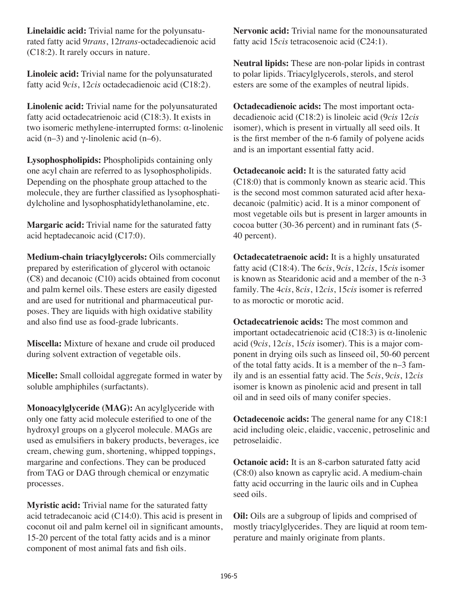**Linelaidic acid:** Trivial name for the polyunsaturated fatty acid 9*trans*, 12*trans*-octadecadienoic acid (C18:2). It rarely occurs in nature.

**Linoleic acid:** Trivial name for the polyunsaturated fatty acid 9*cis*, 12*cis* octadecadienoic acid (C18:2).

**Linolenic acid:** Trivial name for the polyunsaturated fatty acid octadecatrienoic acid (C18:3). It exists in two isomeric methylene-interrupted forms: α-linolenic acid (n–3) and  $\gamma$ -linolenic acid (n–6).

**Lysophospholipids:** Phospholipids containing only one acyl chain are referred to as lysophospholipids. Depending on the phosphate group attached to the molecule, they are further classified as lysophosphatidylcholine and lysophosphatidylethanolamine, etc.

**Margaric acid:** Trivial name for the saturated fatty acid heptadecanoic acid (C17:0).

**Medium-chain triacylglycerols:** Oils commercially prepared by esterification of glycerol with octanoic (C8) and decanoic (C10) acids obtained from coconut and palm kernel oils. These esters are easily digested and are used for nutritional and pharmaceutical purposes. They are liquids with high oxidative stability and also find use as food-grade lubricants.

**Miscella:** Mixture of hexane and crude oil produced during solvent extraction of vegetable oils.

**Micelle:** Small colloidal aggregate formed in water by soluble amphiphiles (surfactants).

**Monoacylglyceride (MAG):** An acylglyceride with only one fatty acid molecule esterified to one of the hydroxyl groups on a glycerol molecule. MAGs are used as emulsifiers in bakery products, beverages, ice cream, chewing gum, shortening, whipped toppings, margarine and confections. They can be produced from TAG or DAG through chemical or enzymatic processes.

**Myristic acid:** Trivial name for the saturated fatty acid tetradecanoic acid (C14:0). This acid is present in coconut oil and palm kernel oil in significant amounts, 15-20 percent of the total fatty acids and is a minor component of most animal fats and fish oils.

**Nervonic acid:** Trivial name for the monounsaturated fatty acid 15*cis* tetracosenoic acid (C24:1).

**Neutral lipids:** These are non-polar lipids in contrast to polar lipids. Triacylglycerols, sterols, and sterol esters are some of the examples of neutral lipids.

**Octadecadienoic acids:** The most important octadecadienoic acid (C18:2) is linoleic acid (9*cis* 12*cis* isomer), which is present in virtually all seed oils. It is the first member of the n-6 family of polyene acids and is an important essential fatty acid.

**Octadecanoic acid:** It is the saturated fatty acid (C18:0) that is commonly known as stearic acid. This is the second most common saturated acid after hexadecanoic (palmitic) acid. It is a minor component of most vegetable oils but is present in larger amounts in cocoa butter (30-36 percent) and in ruminant fats (5- 40 percent).

**Octadecatetraenoic acid:** It is a highly unsaturated fatty acid (C18:4). The 6*cis*, 9*cis*, 12*cis*, 15*cis* isomer is known as Stearidonic acid and a member of the n-3 family. The 4*cis*, 8*cis*, 12*cis*, 15*cis* isomer is referred to as moroctic or morotic acid.

**Octadecatrienoic acids:** The most common and important octadecatrienoic acid (C18:3) is α-linolenic acid (9*cis*, 12*cis*, 15*cis* isomer). This is a major component in drying oils such as linseed oil, 50-60 percent of the total fatty acids. It is a member of the n–3 family and is an essential fatty acid. The 5*cis*, 9*cis*, 12*cis* isomer is known as pinolenic acid and present in tall oil and in seed oils of many conifer species.

**Octadecenoic acids:** The general name for any C18:1 acid including oleic, elaidic, vaccenic, petroselinic and petroselaidic.

**Octanoic acid:** It is an 8-carbon saturated fatty acid (C8:0) also known as caprylic acid. A medium-chain fatty acid occurring in the lauric oils and in Cuphea seed oils.

**Oil:** Oils are a subgroup of lipids and comprised of mostly triacylglycerides. They are liquid at room temperature and mainly originate from plants.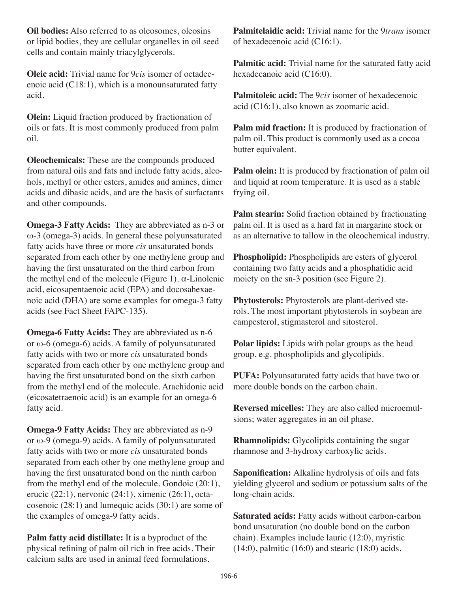**Oil bodies:** Also referred to as oleosomes, oleosins or lipid bodies, they are cellular organelles in oil seed cells and contain mainly triacylglycerols.

**Oleic acid:** Trivial name for 9*cis* isomer of octadecenoic acid (C18:1), which is a monounsaturated fatty acid.

**Olein:** Liquid fraction produced by fractionation of oils or fats. It is most commonly produced from palm oil.

**Oleochemicals:** These are the compounds produced from natural oils and fats and include fatty acids, alcohols, methyl or other esters, amides and amines, dimer acids and dibasic acids, and are the basis of surfactants and other compounds.

**Omega-3 Fatty Acids:** They are abbreviated as n-3 or ω-3 (omega-3) acids. In general these polyunsaturated fatty acids have three or more *cis* unsaturated bonds separated from each other by one methylene group and having the first unsaturated on the third carbon from the methyl end of the molecule (Figure 1).  $\alpha$ -Linolenic acid, eicosapentaenoic acid (EPA) and docosahexaenoic acid (DHA) are some examples for omega-3 fatty acids (see Fact Sheet FAPC-135).

**Omega-6 Fatty Acids:** They are abbreviated as n-6 or ω-6 (omega-6) acids. A family of polyunsaturated fatty acids with two or more *cis* unsaturated bonds separated from each other by one methylene group and having the first unsaturated bond on the sixth carbon from the methyl end of the molecule. Arachidonic acid (eicosatetraenoic acid) is an example for an omega-6 fatty acid.

**Omega-9 Fatty Acids:** They are abbreviated as n-9 or ω-9 (omega-9) acids. A family of polyunsaturated fatty acids with two or more *cis* unsaturated bonds separated from each other by one methylene group and having the first unsaturated bond on the ninth carbon from the methyl end of the molecule. Gondoic (20:1), erucic (22:1), nervonic (24:1), ximenic (26:1), octacosenoic (28:1) and lumequic acids (30:1) are some of the examples of omega-9 fatty acids.

**Palm fatty acid distillate:** It is a byproduct of the physical refining of palm oil rich in free acids. Their calcium salts are used in animal feed formulations.

**Palmitelaidic acid:** Trivial name for the 9*trans* isomer of hexadecenoic acid (C16:1).

**Palmitic acid:** Trivial name for the saturated fatty acid hexadecanoic acid (C16:0).

**Palmitoleic acid:** The 9*cis* isomer of hexadecenoic acid (C16:1), also known as zoomaric acid.

**Palm mid fraction:** It is produced by fractionation of palm oil. This product is commonly used as a cocoa butter equivalent.

**Palm olein:** It is produced by fractionation of palm oil and liquid at room temperature. It is used as a stable frying oil.

**Palm stearin:** Solid fraction obtained by fractionating palm oil. It is used as a hard fat in margarine stock or as an alternative to tallow in the oleochemical industry.

**Phospholipid:** Phospholipids are esters of glycerol containing two fatty acids and a phosphatidic acid moiety on the sn-3 position (see Figure 2).

**Phytosterols:** Phytosterols are plant-derived sterols. The most important phytosterols in soybean are campesterol, stigmasterol and sitosterol.

**Polar lipids:** Lipids with polar groups as the head group, e.g. phospholipids and glycolipids.

**PUFA:** Polyunsaturated fatty acids that have two or more double bonds on the carbon chain.

**Reversed micelles:** They are also called microemulsions; water aggregates in an oil phase.

**Rhamnolipids:** Glycolipids containing the sugar rhamnose and 3-hydroxy carboxylic acids.

**Saponification:** Alkaline hydrolysis of oils and fats yielding glycerol and sodium or potassium salts of the long-chain acids.

**Saturated acids:** Fatty acids without carbon-carbon bond unsaturation (no double bond on the carbon chain). Examples include lauric (12:0), myristic  $(14:0)$ , palmitic  $(16:0)$  and stearic  $(18:0)$  acids.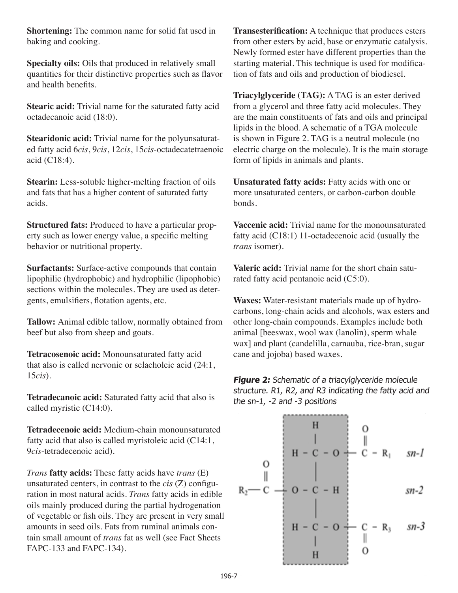**Shortening:** The common name for solid fat used in baking and cooking.

**Specialty oils:** Oils that produced in relatively small quantities for their distinctive properties such as flavor and health benefits.

**Stearic acid:** Trivial name for the saturated fatty acid octadecanoic acid (18:0).

**Stearidonic acid:** Trivial name for the polyunsaturated fatty acid 6*cis*, 9*cis*, 12*cis*, 15*cis*-octadecatetraenoic acid (C18:4).

**Stearin:** Less-soluble higher-melting fraction of oils and fats that has a higher content of saturated fatty acids.

**Structured fats:** Produced to have a particular property such as lower energy value, a specific melting behavior or nutritional property.

**Surfactants:** Surface-active compounds that contain lipophilic (hydrophobic) and hydrophilic (lipophobic) sections within the molecules. They are used as detergents, emulsifiers, flotation agents, etc.

**Tallow:** Animal edible tallow, normally obtained from beef but also from sheep and goats.

**Tetracosenoic acid:** Monounsaturated fatty acid that also is called nervonic or selacholeic acid (24:1, 15*cis*).

**Tetradecanoic acid:** Saturated fatty acid that also is called myristic (C14:0).

**Tetradecenoic acid:** Medium-chain monounsaturated fatty acid that also is called myristoleic acid (C14:1, 9*cis*-tetradecenoic acid).

*Trans* **fatty acids:** These fatty acids have *trans* (E) unsaturated centers, in contrast to the *cis* (Z) configuration in most natural acids. *Trans* fatty acids in edible oils mainly produced during the partial hydrogenation of vegetable or fish oils. They are present in very small amounts in seed oils. Fats from ruminal animals contain small amount of *trans* fat as well (see Fact Sheets FAPC-133 and FAPC-134).

**Transesterification:** A technique that produces esters from other esters by acid, base or enzymatic catalysis. Newly formed ester have different properties than the starting material. This technique is used for modification of fats and oils and production of biodiesel.

**Triacylglyceride (TAG):** A TAG is an ester derived from a glycerol and three fatty acid molecules. They are the main constituents of fats and oils and principal lipids in the blood. A schematic of a TGA molecule is shown in Figure 2. TAG is a neutral molecule (no electric charge on the molecule). It is the main storage form of lipids in animals and plants.

**Unsaturated fatty acids:** Fatty acids with one or more unsaturated centers, or carbon-carbon double bonds.

**Vaccenic acid:** Trivial name for the monounsaturated fatty acid (C18:1) 11-octadecenoic acid (usually the *trans* isomer).

**Valeric acid:** Trivial name for the short chain saturated fatty acid pentanoic acid (C5:0).

**Waxes:** Water-resistant materials made up of hydrocarbons, long-chain acids and alcohols, wax esters and other long-chain compounds. Examples include both animal [beeswax, wool wax (lanolin), sperm whale wax] and plant (candelilla, carnauba, rice-bran, sugar cane and jojoba) based waxes.

**Figure 2:** Schematic of a triacylglyceride molecule structure. R1, R2, and R3 indicating the fatty acid and the sn-1, -2 and -3 positions